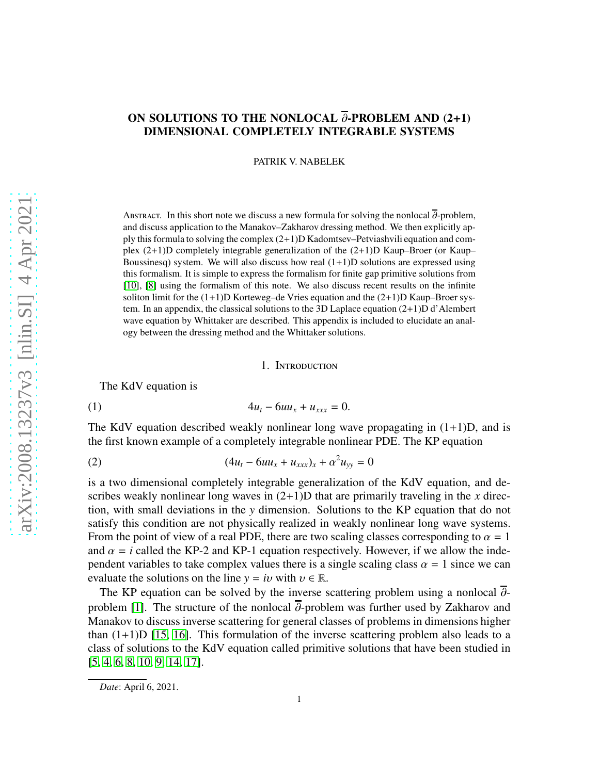# ON SOLUTIONS TO THE NONLOCAL  $\overline{\partial}$ -PROBLEM AND (2+1) DIMENSIONAL COMPLETELY INTEGRABLE SYSTEMS

PATRIK V. NABELEK

ABSTRACT. In this short note we discuss a new formula for solving the nonlocal  $\overline{\partial}$ -problem, and discuss application to the Manakov–Zakharov dressing method. We then explicitly apply this formula to solving the complex  $(2+1)$ D Kadomtsev–Petviashvili equation and complex  $(2+1)$ D completely integrable generalization of the  $(2+1)$ D Kaup–Broer (or Kaup– Boussinesq) system. We will also discuss how real  $(1+1)$ D solutions are expressed using this formalism. It is simple to express the formalism for finite gap primitive solutions from [\[10\]](#page-10-0), [\[8\]](#page-10-1) using the formalism of this note. We also discuss recent results on the infinite soliton limit for the  $(1+1)D$  Korteweg–de Vries equation and the  $(2+1)D$  Kaup–Broer system. In an appendix, the classical solutions to the 3D Laplace equation  $(2+1)D d'$  Alembert wave equation by Whittaker are described. This appendix is included to elucidate an analogy between the dressing method and the Whittaker solutions.

#### 1. Introduction

The KdV equation is

(1) 
$$
4u_t - 6uu_x + u_{xxx} = 0.
$$

The KdV equation described weakly nonlinear long wave propagating in  $(1+1)D$ , and is the first known example of a completely integrable nonlinear PDE. The KP equation

(2) 
$$
(4u_t - 6uu_x + u_{xxx})_x + \alpha^2 u_{yy} = 0
$$

is a two dimensional completely integrable generalization of the KdV equation, and describes weakly nonlinear long waves in (2+1)D that are primarily traveling in the *x* direction, with small deviations in the *y* dimension. Solutions to the KP equation that do not satisfy this condition are not physically realized in weakly nonlinear long wave systems. From the point of view of a real PDE, there are two scaling classes corresponding to  $\alpha = 1$ and  $\alpha = i$  called the KP-2 and KP-1 equation respectively. However, if we allow the independent variables to take complex values there is a single scaling class  $\alpha = 1$  since we can evaluate the solutions on the line  $y = iv$  with  $v \in \mathbb{R}$ .

The KP equation can be solved by the inverse scattering problem using a nonlocal  $\overline{\partial}$ -problem [\[1\]](#page-10-2). The structure of the nonlocal  $\overline{\partial}$ -problem was further used by Zakharov and Manakov to discuss inverse scattering for general classes of problems in dimensions higher than  $(1+1)D$  [\[15,](#page-10-3) [16\]](#page-10-4). This formulation of the inverse scattering problem also leads to a class of solutions to the KdV equation called primitive solutions that have been studied in [\[5,](#page-10-5) [4,](#page-10-6) [6,](#page-10-7) [8,](#page-10-1) [10,](#page-10-0) [9,](#page-10-8) [14,](#page-10-9) [17\]](#page-10-10).

*Date*: April 6, 2021.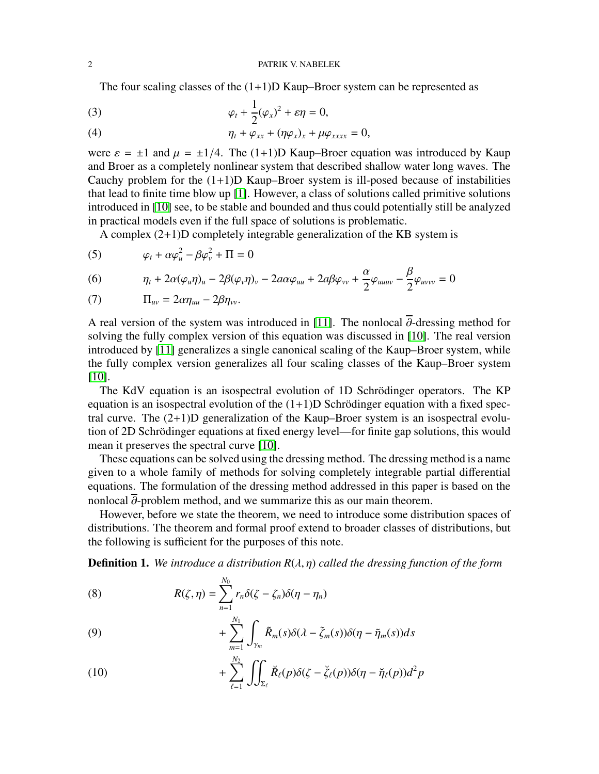The four scaling classes of the  $(1+1)D$  Kaup–Broer system can be represented as

(3) 
$$
\varphi_t + \frac{1}{2}(\varphi_x)^2 + \varepsilon \eta = 0,
$$

(4) 
$$
\eta_t + \varphi_{xx} + (\eta \varphi_x)_x + \mu \varphi_{xxxx} = 0,
$$

were  $\varepsilon = \pm 1$  and  $\mu = \pm 1/4$ . The (1+1)D Kaup–Broer equation was introduced by Kaup and Broer as a completely nonlinear system that described shallow water long waves. The Cauchy problem for the  $(1+1)D$  Kaup–Broer system is ill-posed because of instabilities that lead to finite time blow up [\[1\]](#page-10-2). However, a class of solutions called primitive solutions introduced in [\[10\]](#page-10-0) see, to be stable and bounded and thus could potentially still be analyzed in practical models even if the full space of solutions is problematic.

A complex (2+1)D completely integrable generalization of the KB system is

(5) 
$$
\varphi_t + \alpha \varphi_u^2 - \beta \varphi_v^2 + \Pi = 0
$$

(6) 
$$
\eta_t + 2\alpha(\varphi_u \eta)_u - 2\beta(\varphi_v \eta)_v - 2a\alpha\varphi_{uu} + 2a\beta\varphi_{vv} + \frac{\alpha}{2}\varphi_{uuuv} - \frac{\beta}{2}\varphi_{uvvv} = 0
$$

(7) 
$$
\Pi_{uv} = 2\alpha \eta_{uu} - 2\beta \eta_{vv}.
$$

A real version of the system was introduced in [\[11\]](#page-10-11). The nonlocal  $\overline{\partial}$ -dressing method for solving the fully complex version of this equation was discussed in [\[10\]](#page-10-0). The real version introduced by [\[11\]](#page-10-11) generalizes a single canonical scaling of the Kaup–Broer system, while the fully complex version generalizes all four scaling classes of the Kaup–Broer system [\[10\]](#page-10-0).

The KdV equation is an isospectral evolution of 1D Schrödinger operators. The KP equation is an isospectral evolution of the  $(1+1)D$  Schrödinger equation with a fixed spectral curve. The  $(2+1)D$  generalization of the Kaup–Broer system is an isospectral evolution of 2D Schrödinger equations at fixed energy level—for finite gap solutions, this would mean it preserves the spectral curve [\[10\]](#page-10-0).

These equations can be solved using the dressing method. The dressing method is a name given to a whole family of methods for solving completely integrable partial differential equations. The formulation of the dressing method addressed in this paper is based on the nonlocal  $\overline{\partial}$ -problem method, and we summarize this as our main theorem.

However, before we state the theorem, we need to introduce some distribution spaces of distributions. The theorem and formal proof extend to broader classes of distributions, but the following is sufficient for the purposes of this note.

Definition 1. *We introduce a distribution R*(λ, η) *called the dressing function of the form*

(8) 
$$
R(\zeta,\eta) = \sum_{n=1}^{N_0} r_n \delta(\zeta - \zeta_n) \delta(\eta - \eta_n)
$$

(9) 
$$
+\sum_{m=1}^{N_1}\int_{\gamma_m}\tilde{R}_m(s)\delta(\lambda-\tilde{\zeta}_m(s))\delta(\eta-\tilde{\eta}_m(s))ds
$$

(10) 
$$
+ \sum_{\ell=1}^{N_2} \iint_{\Sigma_{\ell}} \breve{R}_{\ell}(p) \delta(\zeta - \breve{\zeta}_{\ell}(p)) \delta(\eta - \breve{\eta}_{\ell}(p)) d^2 p
$$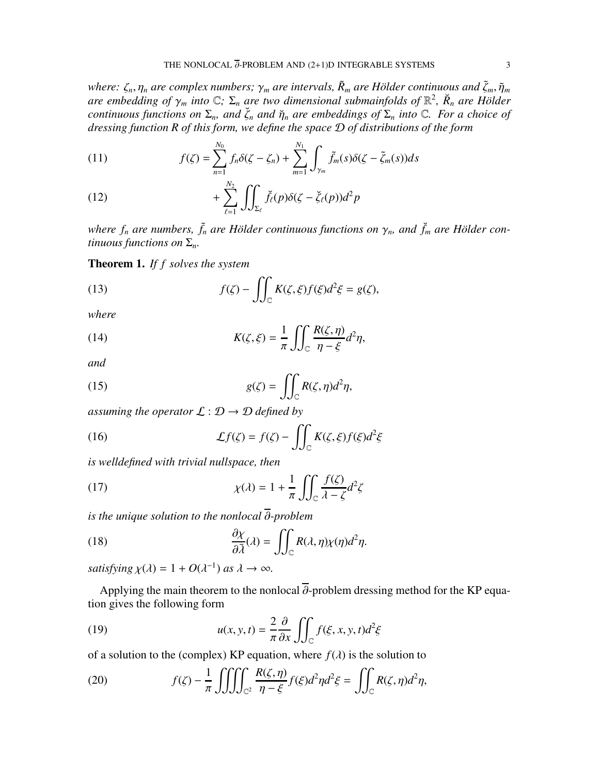*where:*  $\zeta_n$ ,  $\eta_n$  *are complex numbers;*  $\gamma_m$  *are intervals,*  $\tilde{R}_m$  *are Hölder continuous and*  $\tilde{\zeta}_m$ ,  $\tilde{\eta}_m$ *are embedding of*  $\gamma_m$  *into*  $\mathbb{C}$ ;  $\Sigma_n$  *are two dimensional submainfolds of*  $\mathbb{R}^2$ ,  $\breve{R}_n$  *are Hölder continuous functions on*  $\Sigma_n$ *, and*  $\check{\zeta}_n$  *and*  $\check{\eta}_n$  *are embeddings of*  $\Sigma_n$  *into*  $\mathbb{C}$ *. For a choice of dressing function R of this form, we define the space* D *of distributions of the form*

(11) 
$$
f(\zeta) = \sum_{n=1}^{N_0} f_n \delta(\zeta - \zeta_n) + \sum_{m=1}^{N_1} \int_{\gamma_m} \tilde{f}_m(s) \delta(\zeta - \tilde{\zeta}_m(s)) ds
$$

(12) 
$$
+ \sum_{\ell=1}^{N_2} \iint_{\Sigma_{\ell}} \breve{f}_{\ell}(p) \delta(\zeta - \breve{\zeta}_{\ell}(p)) d^2 p
$$

*where*  $f_n$  *are numbers,*  $\tilde{f}_n$  *are Hölder continuous functions on*  $\gamma_n$ *, and*  $\tilde{f}_m$  *are Hölder continuous functions on*  $\Sigma_n$ *.* 

Theorem 1. *If f solves the system*

(13) 
$$
f(\zeta) - \iint_{\mathbb{C}} K(\zeta, \xi) f(\xi) d^2 \xi = g(\zeta),
$$

*where*

(14) 
$$
K(\zeta,\xi) = \frac{1}{\pi} \iint_{\mathbb{C}} \frac{R(\zeta,\eta)}{\eta-\xi} d^2 \eta,
$$

*and*

(15) 
$$
g(\zeta) = \iint_{\mathbb{C}} R(\zeta, \eta) d^2 \eta,
$$

*assuming the operator*  $\mathcal{L}: \mathcal{D} \rightarrow \mathcal{D}$  *defined by* 

(16) 
$$
\mathcal{L}f(\zeta) = f(\zeta) - \iint_{\mathbb{C}} K(\zeta, \xi) f(\xi) d^2 \xi
$$

*is welldefined with trivial nullspace, then*

(17) 
$$
\chi(\lambda) = 1 + \frac{1}{\pi} \iint_{\mathbb{C}} \frac{f(\zeta)}{\lambda - \zeta} d^2 \zeta
$$

*is the unique solution to the nonlocal* ∂*-problem*

(18) 
$$
\frac{\partial \chi}{\partial \bar{\lambda}}(\lambda) = \iint_{\mathbb{C}} R(\lambda, \eta) \chi(\eta) d^2 \eta.
$$

*satisfying*  $\chi(\lambda) = 1 + O(\lambda^{-1})$  *as*  $\lambda \to \infty$ *.* 

Applying the main theorem to the nonlocal  $\overline{\partial}$ -problem dressing method for the KP equation gives the following form

(19) 
$$
u(x, y, t) = \frac{2}{\pi} \frac{\partial}{\partial x} \iint_C f(\xi, x, y, t) d^2 \xi
$$

of a solution to the (complex) KP equation, where  $f(\lambda)$  is the solution to

(20) 
$$
f(\zeta) - \frac{1}{\pi} \iiint_{\mathbb{C}^2} \frac{R(\zeta, \eta)}{\eta - \xi} f(\xi) d^2 \eta d^2 \xi = \iint_{\mathbb{C}} R(\zeta, \eta) d^2 \eta,
$$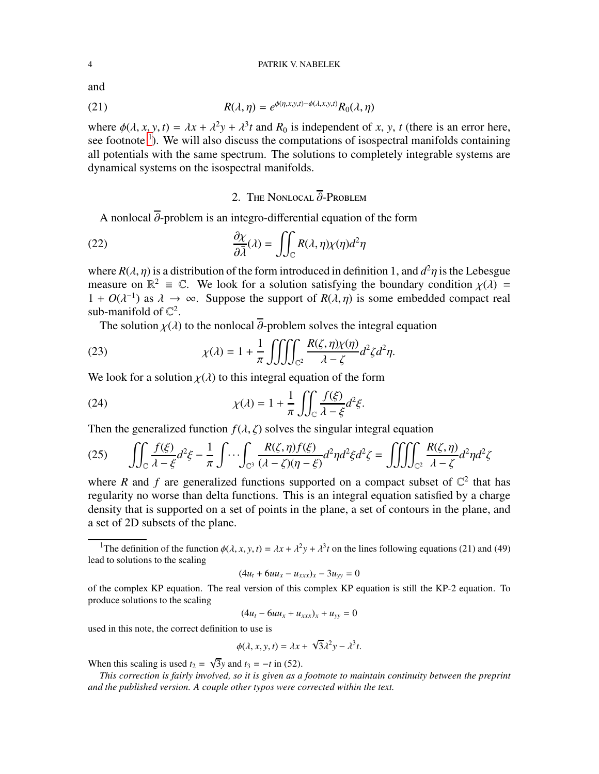and

(21) 
$$
R(\lambda, \eta) = e^{\phi(\eta, x, y, t) - \phi(\lambda, x, y, t)} R_0(\lambda, \eta)
$$

where  $\phi(\lambda, x, y, t) = \lambda x + \lambda^2 y + \lambda^3 t$  and  $R_0$  is independent of *x*, *y*, *t* (there is an error here, see footnote  $\textsuperscript{1}$  $\textsuperscript{1}$  $\textsuperscript{1}$ ). We will also discuss the computations of isospectral manifolds containing all potentials with the same spectrum. The solutions to completely integrable systems are dynamical systems on the isospectral manifolds.

## 2. The Nonlocal  $\overline{\partial}$ -Problem

A nonlocal  $\overline{\partial}$ -problem is an integro-differential equation of the form

(22) 
$$
\frac{\partial \chi}{\partial \bar{\lambda}}(\lambda) = \iint_{\mathbb{C}} R(\lambda, \eta) \chi(\eta) d^2 \eta
$$

where  $R(\lambda, \eta)$  is a distribution of the form introduced in definition 1, and  $d^2\eta$  is the Lebesgue measure on  $\mathbb{R}^2 \equiv \mathbb{C}$ . We look for a solution satisfying the boundary condition  $\chi(\lambda) =$  $1 + O(\lambda^{-1})$  as  $\lambda \to \infty$ . Suppose the support of  $R(\lambda, \eta)$  is some embedded compact real sub-manifold of  $\mathbb{C}^2$ .

The solution  $\chi(\lambda)$  to the nonlocal  $\overline{\partial}$ -problem solves the integral equation

(23) 
$$
\chi(\lambda) = 1 + \frac{1}{\pi} \iiint_{\mathbb{C}^2} \frac{R(\zeta, \eta) \chi(\eta)}{\lambda - \zeta} d^2 \zeta d^2 \eta.
$$

We look for a solution  $\chi(\lambda)$  to this integral equation of the form

(24) 
$$
\chi(\lambda) = 1 + \frac{1}{\pi} \iint_{\mathbb{C}} \frac{f(\xi)}{\lambda - \xi} d^2 \xi.
$$

Then the generalized function  $f(\lambda, \zeta)$  solves the singular integral equation

(25) 
$$
\iint_{\mathbb{C}} \frac{f(\xi)}{\lambda - \xi} d^2 \xi - \frac{1}{\pi} \int \cdots \int_{\mathbb{C}^3} \frac{R(\zeta, \eta) f(\xi)}{(\lambda - \zeta)(\eta - \xi)} d^2 \eta d^2 \xi d^2 \zeta = \iiint_{\mathbb{C}^2} \frac{R(\zeta, \eta)}{\lambda - \zeta} d^2 \eta d^2 \zeta
$$

where *R* and *f* are generalized functions supported on a compact subset of  $\mathbb{C}^2$  that has regularity no worse than delta functions. This is an integral equation satisfied by a charge density that is supported on a set of points in the plane, a set of contours in the plane, and a set of 2D subsets of the plane.

$$
(4u_t + 6uu_x - u_{xxx})_x - 3u_{yy} = 0
$$

of the complex KP equation. The real version of this complex KP equation is still the KP-2 equation. To produce solutions to the scaling

$$
(4u_t - 6uu_x + u_{xxx})_x + u_{yy} = 0
$$

used in this note, the correct definition to use is

$$
\phi(\lambda, x, y, t) = \lambda x + \sqrt{3}\lambda^2 y - \lambda^3 t.
$$

When this scaling is used  $t_2 = \sqrt{3}y$  and  $t_3 = -t$  in (52).

*This correction is fairly involved, so it is given as a footnote to maintain continuity between the preprint and the published version. A couple other typos were corrected within the text.*

<span id="page-3-0"></span><sup>&</sup>lt;sup>1</sup>The definition of the function  $\phi(\lambda, x, y, t) = \lambda x + \lambda^2 y + \lambda^3 t$  on the lines following equations (21) and (49) lead to solutions to the scaling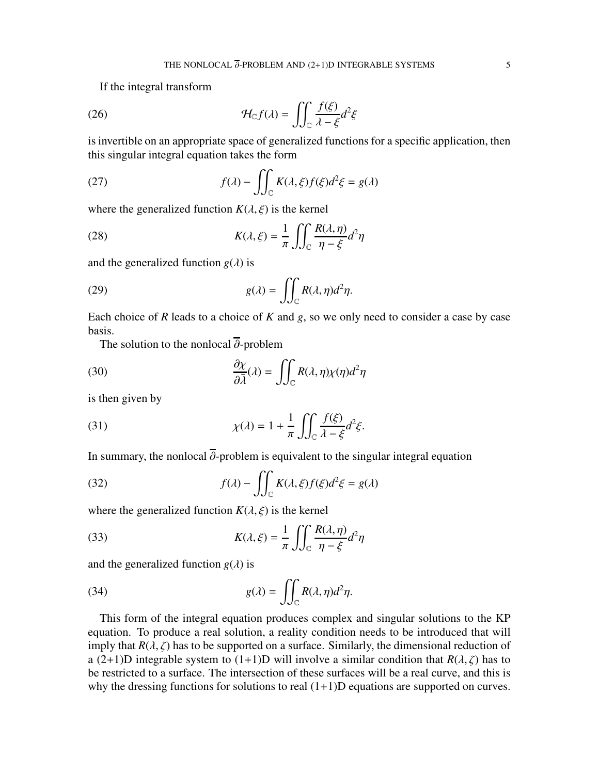If the integral transform

(26) 
$$
\mathcal{H}_{\mathbb{C}}f(\lambda) = \iint_{\mathbb{C}} \frac{f(\xi)}{\lambda - \xi} d^2\xi
$$

is invertible on an appropriate space of generalized functions for a specific application, then this singular integral equation takes the form

(27) 
$$
f(\lambda) - \iint_{\mathbb{C}} K(\lambda, \xi) f(\xi) d^2 \xi = g(\lambda)
$$

where the generalized function  $K(\lambda, \xi)$  is the kernel

(28) 
$$
K(\lambda, \xi) = \frac{1}{\pi} \iint_{\mathbb{C}} \frac{R(\lambda, \eta)}{\eta - \xi} d^2 \eta
$$

and the generalized function  $g(\lambda)$  is

(29) 
$$
g(\lambda) = \iint_{\mathbb{C}} R(\lambda, \eta) d^2 \eta.
$$

Each choice of *R* leads to a choice of *K* and *g*, so we only need to consider a case by case basis.

The solution to the nonlocal  $\overline{\partial}$ -problem

(30) 
$$
\frac{\partial \chi}{\partial \bar{\lambda}}(\lambda) = \iint_{\mathbb{C}} R(\lambda, \eta) \chi(\eta) d^2 \eta
$$

is then given by

(31) 
$$
\chi(\lambda) = 1 + \frac{1}{\pi} \iint_{\mathbb{C}} \frac{f(\xi)}{\lambda - \xi} d^2 \xi.
$$

In summary, the nonlocal  $\overline{\partial}$ -problem is equivalent to the singular integral equation

(32) 
$$
f(\lambda) - \iint_{\mathbb{C}} K(\lambda, \xi) f(\xi) d^2 \xi = g(\lambda)
$$

where the generalized function  $K(\lambda, \xi)$  is the kernel

(33) 
$$
K(\lambda, \xi) = \frac{1}{\pi} \iint_{\mathbb{C}} \frac{R(\lambda, \eta)}{\eta - \xi} d^2 \eta
$$

and the generalized function  $g(\lambda)$  is

(34) 
$$
g(\lambda) = \iint_{\mathbb{C}} R(\lambda, \eta) d^2 \eta.
$$

This form of the integral equation produces complex and singular solutions to the KP equation. To produce a real solution, a reality condition needs to be introduced that will imply that  $R(\lambda, \zeta)$  has to be supported on a surface. Similarly, the dimensional reduction of a (2+1)D integrable system to (1+1)D will involve a similar condition that  $R(\lambda, \zeta)$  has to be restricted to a surface. The intersection of these surfaces will be a real curve, and this is why the dressing functions for solutions to real  $(1+1)D$  equations are supported on curves.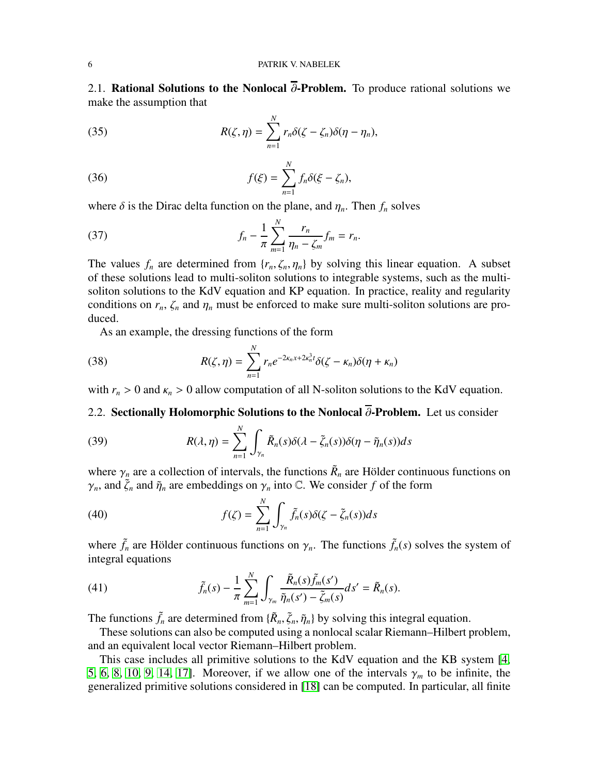2.1. Rational Solutions to the Nonlocal  $\overline{\partial}$ -Problem. To produce rational solutions we make the assumption that

(35) 
$$
R(\zeta, \eta) = \sum_{n=1}^{N} r_n \delta(\zeta - \zeta_n) \delta(\eta - \eta_n),
$$

(36) 
$$
f(\xi) = \sum_{n=1}^{N} f_n \delta(\xi - \zeta_n),
$$

where  $\delta$  is the Dirac delta function on the plane, and  $\eta_n$ . Then  $f_n$  solves

(37) 
$$
f_n - \frac{1}{\pi} \sum_{m=1}^{N} \frac{r_n}{\eta_n - \zeta_m} f_m = r_n.
$$

The values  $f_n$  are determined from  $\{r_n, \zeta_n, \eta_n\}$  by solving this linear equation. A subset of these solutions lead to multi-soliton solutions to integrable systems, such as the multisoliton solutions to the KdV equation and KP equation. In practice, reality and regularity conditions on  $r_n$ ,  $\zeta_n$  and  $\eta_n$  must be enforced to make sure multi-soliton solutions are produced.

As an example, the dressing functions of the form

(38) 
$$
R(\zeta,\eta) = \sum_{n=1}^{N} r_n e^{-2\kappa_n x + 2\kappa_n^3 t} \delta(\zeta - \kappa_n) \delta(\eta + \kappa_n)
$$

with  $r_n > 0$  and  $\kappa_n > 0$  allow computation of all N-soliton solutions to the KdV equation.

## 2.2. Sectionally Holomorphic Solutions to the Nonlocal  $\overline{\partial}$ -Problem. Let us consider

(39) 
$$
R(\lambda, \eta) = \sum_{n=1}^{N} \int_{\gamma_n} \tilde{R}_n(s) \delta(\lambda - \tilde{\zeta}_n(s)) \delta(\eta - \tilde{\eta}_n(s)) ds
$$

where  $\gamma_n$  are a collection of intervals, the functions  $\tilde{R}_n$  are Hölder continuous functions on  $\gamma_n$ , and  $\tilde{\zeta}_n$  and  $\tilde{\eta}_n$  are embeddings on  $\gamma_n$  into C. We consider f of the form

(40) 
$$
f(\zeta) = \sum_{n=1}^{N} \int_{\gamma_n} \tilde{f}_n(s) \delta(\zeta - \tilde{\zeta}_n(s)) ds
$$

where  $\tilde{f}_n$  are Hölder continuous functions on  $\gamma_n$ . The functions  $\tilde{f}_n(s)$  solves the system of integral equations

(41) 
$$
\tilde{f}_n(s) - \frac{1}{\pi} \sum_{m=1}^N \int_{\gamma_m} \frac{\tilde{R}_n(s) \tilde{f}_m(s')}{\tilde{\eta}_n(s') - \tilde{\zeta}_m(s)} ds' = \tilde{R}_n(s).
$$

The functions  $\tilde{f}_n$  are determined from  $\{\tilde{R}_n, \tilde{\zeta}_n, \tilde{\eta}_n\}$  by solving this integral equation.

These solutions can also be computed using a nonlocal scalar Riemann–Hilbert problem, and an equivalent local vector Riemann–Hilbert problem.

This case includes all primitive solutions to the KdV equation and the KB system [\[4,](#page-10-6) [5,](#page-10-5) [6,](#page-10-7) [8,](#page-10-1) [10,](#page-10-0) [9,](#page-10-8) [14,](#page-10-9) [17\]](#page-10-10). Moreover, if we allow one of the intervals  $\gamma_m$  to be infinite, the generalized primitive solutions considered in [\[18\]](#page-10-12) can be computed. In particular, all finite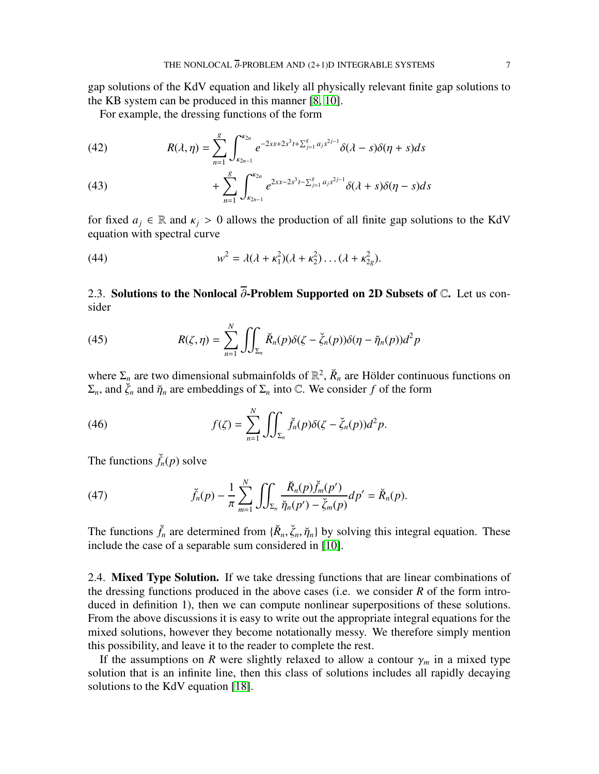gap solutions of the KdV equation and likely all physically relevant finite gap solutions to the KB system can be produced in this manner [\[8,](#page-10-1) [10\]](#page-10-0).

For example, the dressing functions of the form

(42) 
$$
R(\lambda, \eta) = \sum_{n=1}^{g} \int_{\kappa_{2n-1}}^{\kappa_{2n}} e^{-2sx+2s^3t+\sum_{j=1}^{g} a_j s^{2j-1}} \delta(\lambda-s) \delta(\eta+s) ds
$$

(43) 
$$
+ \sum_{n=1}^{g} \int_{\kappa_{2n-1}}^{\kappa_{2n}} e^{2sx-2s^3t-\sum_{j=1}^{g} a_j s^{2j-1}} \delta(\lambda+s) \delta(\eta-s) ds
$$

for fixed  $a_j \in \mathbb{R}$  and  $\kappa_j > 0$  allows the production of all finite gap solutions to the KdV equation with spectral curve

(44) 
$$
w^{2} = \lambda(\lambda + \kappa_{1}^{2})(\lambda + \kappa_{2}^{2})\dots(\lambda + \kappa_{2g}^{2}).
$$

2.3. Solutions to the Nonlocal  $\overline{\partial}$ -Problem Supported on 2D Subsets of  $\mathbb{C}$ . Let us consider

(45) 
$$
R(\zeta,\eta)=\sum_{n=1}^N\iint_{\Sigma_n}\breve{R}_n(p)\delta(\zeta-\breve{\zeta}_n(p))\delta(\eta-\breve{\eta}_n(p))d^2p
$$

where  $\Sigma_n$  are two dimensional submainfolds of  $\mathbb{R}^2$ ,  $\breve{R}_n$  are Hölder continuous functions on  $\Sigma_n$ , and  $\check{\zeta}_n$  and  $\check{\eta}_n$  are embeddings of  $\Sigma_n$  into  $\mathbb C$ . We consider f of the form

(46) 
$$
f(\zeta) = \sum_{n=1}^N \iint_{\Sigma_n} \check{f}_n(p) \delta(\zeta - \check{\zeta}_n(p)) d^2 p.
$$

The functions  $\check{f}_n(p)$  solve

(47) 
$$
\check{f}_n(p) - \frac{1}{\pi} \sum_{m=1}^N \iint_{\Sigma_n} \frac{\check{R}_n(p) \check{f}_m(p')}{\check{\eta}_n(p') - \check{\zeta}_m(p)} dp' = \check{R}_n(p).
$$

The functions  $\check{f}_n$  are determined from  $\{\check{R}_n, \check{\zeta}_n, \check{\eta}_n\}$  by solving this integral equation. These include the case of a separable sum considered in [\[10\]](#page-10-0).

2.4. **Mixed Type Solution.** If we take dressing functions that are linear combinations of the dressing functions produced in the above cases (i.e. we consider *R* of the form introduced in definition 1), then we can compute nonlinear superpositions of these solutions. From the above discussions it is easy to write out the appropriate integral equations for the mixed solutions, however they become notationally messy. We therefore simply mention this possibility, and leave it to the reader to complete the rest.

If the assumptions on *R* were slightly relaxed to allow a contour  $\gamma_m$  in a mixed type solution that is an infinite line, then this class of solutions includes all rapidly decaying solutions to the KdV equation [\[18\]](#page-10-12).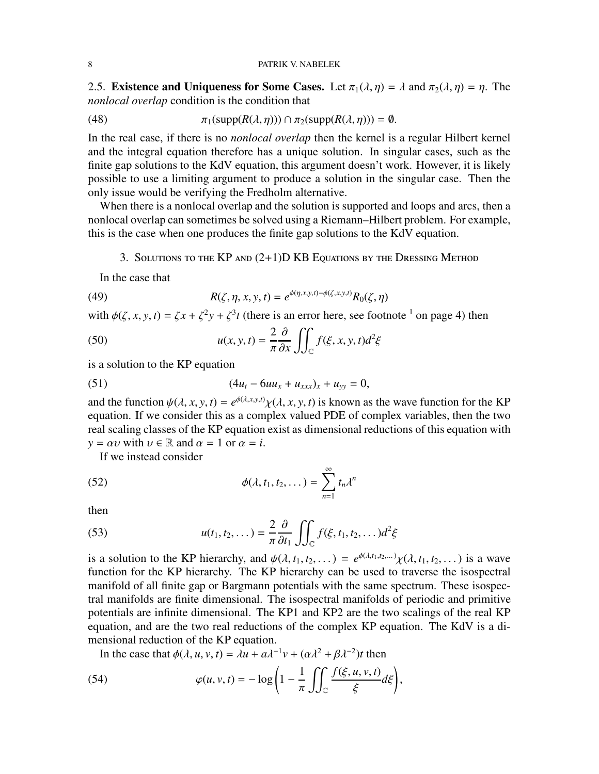2.5. Existence and Uniqueness for Some Cases. Let  $\pi_1(\lambda, \eta) = \lambda$  and  $\pi_2(\lambda, \eta) = \eta$ . The *nonlocal overlap* condition is the condition that

(48) 
$$
\pi_1(\text{supp}(R(\lambda,\eta))) \cap \pi_2(\text{supp}(R(\lambda,\eta))) = \emptyset.
$$

In the real case, if there is no *nonlocal overlap* then the kernel is a regular Hilbert kernel and the integral equation therefore has a unique solution. In singular cases, such as the finite gap solutions to the KdV equation, this argument doesn't work. However, it is likely possible to use a limiting argument to produce a solution in the singular case. Then the only issue would be verifying the Fredholm alternative.

When there is a nonlocal overlap and the solution is supported and loops and arcs, then a nonlocal overlap can sometimes be solved using a Riemann–Hilbert problem. For example, this is the case when one produces the finite gap solutions to the KdV equation.

### 3. Solutions to the KP and (2+1)D KB Equations by the Dressing Method

In the case that

(49) 
$$
R(\zeta, \eta, x, y, t) = e^{\phi(\eta, x, y, t) - \phi(\zeta, x, y, t)} R_0(\zeta, \eta)
$$

with  $\phi(\zeta, x, y, t) = \zeta x + \zeta^2 y + \zeta^3 t$  (there is an error here, see footnote <sup>1</sup> on page 4) then

(50) 
$$
u(x, y, t) = \frac{2}{\pi} \frac{\partial}{\partial x} \iint_C f(\xi, x, y, t) d^2 \xi
$$

is a solution to the KP equation

(51) 
$$
(4u_t - 6uu_x + u_{xxx})_x + u_{yy} = 0,
$$

and the function  $\psi(\lambda, x, y, t) = e^{\phi(\lambda, x, y, t)} \chi(\lambda, x, y, t)$  is known as the wave function for the KP equation. If we consider this as a complex valued PDE of complex variables, then the two real scaling classes of the KP equation exist as dimensional reductions of this equation with  $y = \alpha v$  with  $v \in \mathbb{R}$  and  $\alpha = 1$  or  $\alpha = i$ .

If we instead consider

(52) 
$$
\phi(\lambda, t_1, t_2, \dots) = \sum_{n=1}^{\infty} t_n \lambda^n
$$

then

(53) 
$$
u(t_1, t_2,...) = \frac{2}{\pi} \frac{\partial}{\partial t_1} \iint_C f(\xi, t_1, t_2,...) d^2 \xi
$$

is a solution to the KP hierarchy, and  $\psi(\lambda, t_1, t_2, \dots) = e^{\phi(\lambda, t_1, t_2, \dots)} \chi(\lambda, t_1, t_2, \dots)$  is a wave function for the KP hierarchy. The KP hierarchy can be used to traverse the isospectral manifold of all finite gap or Bargmann potentials with the same spectrum. These isospectral manifolds are finite dimensional. The isospectral manifolds of periodic and primitive potentials are infinite dimensional. The KP1 and KP2 are the two scalings of the real KP equation, and are the two real reductions of the complex KP equation. The KdV is a dimensional reduction of the KP equation.

In the case that  $\phi(\lambda, u, v, t) = \lambda u + a\lambda^{-1}v + (\alpha\lambda^2 + \beta\lambda^{-2})t$  then

(54) 
$$
\varphi(u, v, t) = -\log\left(1 - \frac{1}{\pi} \iint_{\mathbb{C}} \frac{f(\xi, u, v, t)}{\xi} d\xi\right),
$$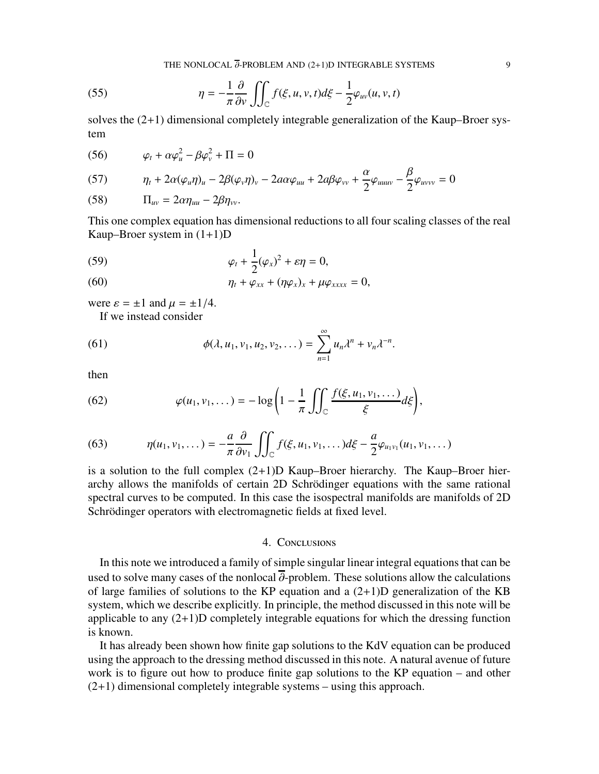THE NONLOCAL  $\overline{\partial}$ -PROBLEM AND (2+1)D INTEGRABLE SYSTEMS 9

(55) 
$$
\eta = -\frac{1}{\pi} \frac{\partial}{\partial v} \iint_{\mathbb{C}} f(\xi, u, v, t) d\xi - \frac{1}{2} \varphi_{uv}(u, v, t)
$$

solves the  $(2+1)$  dimensional completely integrable generalization of the Kaup–Broer system

 $\theta$ 

$$
(56) \qquad \varphi_t + \alpha \varphi_u^2 - \beta \varphi_v^2 + \Pi = 0
$$

(57) 
$$
\eta_t + 2\alpha(\varphi_u \eta)_u - 2\beta(\varphi_v \eta)_v - 2a\alpha\varphi_{uu} + 2a\beta\varphi_{vv} + \frac{\alpha}{2}\varphi_{uuuv} - \frac{\beta}{2}\varphi_{uvvv} = 0
$$

$$
(58) \qquad \Pi_{uv} = 2\alpha \eta_{uu} - 2\beta \eta_{vv}.
$$

This one complex equation has dimensional reductions to all four scaling classes of the real Kaup–Broer system in  $(1+1)D$ 

(59) 
$$
\varphi_t + \frac{1}{2}(\varphi_x)^2 + \varepsilon \eta = 0,
$$

(60) 
$$
\eta_t + \varphi_{xx} + (\eta \varphi_x)_x + \mu \varphi_{xxxx} = 0,
$$

were  $\varepsilon = \pm 1$  and  $\mu = \pm 1/4$ .

If we instead consider

(61) 
$$
\phi(\lambda, u_1, v_1, u_2, v_2, \dots) = \sum_{n=1}^{\infty} u_n \lambda^n + v_n \lambda^{-n}.
$$

then

(62) 
$$
\varphi(u_1, v_1, \ldots) = -\log\left(1 - \frac{1}{\pi} \iint_{\mathbb{C}} \frac{f(\xi, u_1, v_1, \ldots)}{\xi} d\xi\right),
$$

(63) 
$$
\eta(u_1, v_1, \dots) = -\frac{a}{\pi} \frac{\partial}{\partial v_1} \iint_{\mathbb{C}} f(\xi, u_1, v_1, \dots) d\xi - \frac{a}{2} \varphi_{u_1 v_1}(u_1, v_1, \dots)
$$

is a solution to the full complex  $(2+1)D$  Kaup–Broer hierarchy. The Kaup–Broer hierarchy allows the manifolds of certain 2D Schrödinger equations with the same rational spectral curves to be computed. In this case the isospectral manifolds are manifolds of 2D Schrödinger operators with electromagnetic fields at fixed level.

### 4. Conclusions

In this note we introduced a family of simple singular linear integral equations that can be used to solve many cases of the nonlocal  $\overline{\partial}$ -problem. These solutions allow the calculations of large families of solutions to the KP equation and a  $(2+1)D$  generalization of the KB system, which we describe explicitly. In principle, the method discussed in this note will be applicable to any  $(2+1)$ D completely integrable equations for which the dressing function is known.

It has already been shown how finite gap solutions to the KdV equation can be produced using the approach to the dressing method discussed in this note. A natural avenue of future work is to figure out how to produce finite gap solutions to the KP equation – and other  $(2+1)$  dimensional completely integrable systems – using this approach.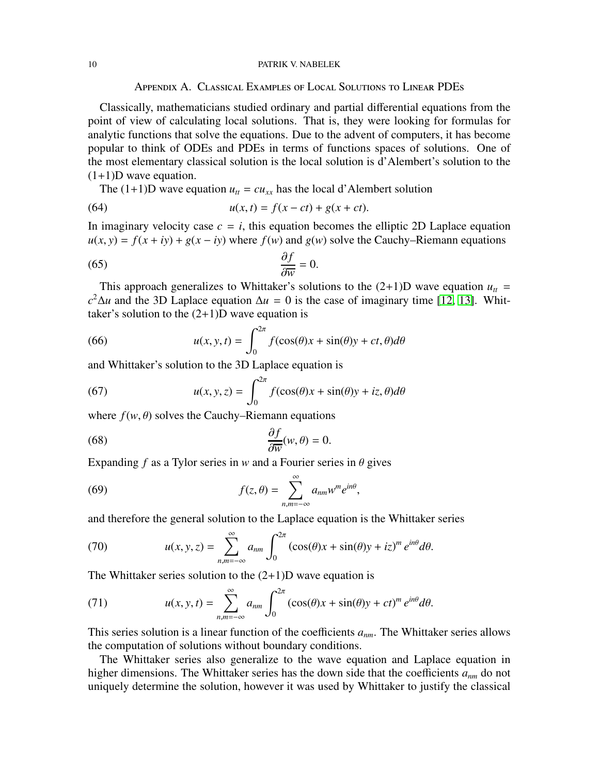#### 10 PATRIK V. NABELEK

Appendix A. Classical Examples of Local Solutions to Linear PDEs

Classically, mathematicians studied ordinary and partial differential equations from the point of view of calculating local solutions. That is, they were looking for formulas for analytic functions that solve the equations. Due to the advent of computers, it has become popular to think of ODEs and PDEs in terms of functions spaces of solutions. One of the most elementary classical solution is the local solution is d'Alembert's solution to the  $(1+1)D$  wave equation.

The  $(1+1)D$  wave equation  $u_t = cu_{xx}$  has the local d'Alembert solution

(64) 
$$
u(x,t) = f(x - ct) + g(x + ct).
$$

In imaginary velocity case  $c = i$ , this equation becomes the elliptic 2D Laplace equation  $u(x, y) = f(x + iy) + g(x - iy)$  where  $f(w)$  and  $g(w)$  solve the Cauchy–Riemann equations

$$
\frac{\partial f}{\partial \overline{w}} = 0.
$$

This approach generalizes to Whittaker's solutions to the  $(2+1)D$  wave equation  $u_t =$  $c^2 \Delta u$  and the 3D Laplace equation  $\Delta u = 0$  is the case of imaginary time [\[12,](#page-10-13) [13\]](#page-10-14). Whittaker's solution to the  $(2+1)D$  wave equation is

(66) 
$$
u(x, y, t) = \int_0^{2\pi} f(\cos(\theta)x + \sin(\theta)y + ct, \theta) d\theta
$$

and Whittaker's solution to the 3D Laplace equation is

(67) 
$$
u(x, y, z) = \int_0^{2\pi} f(\cos(\theta)x + \sin(\theta)y + iz, \theta) d\theta
$$

where  $f(w, \theta)$  solves the Cauchy–Riemann equations

(68) 
$$
\frac{\partial f}{\partial \overline{w}}(w,\theta) = 0.
$$

Expanding  $f$  as a Tylor series in  $w$  and a Fourier series in  $\theta$  gives

(69) 
$$
f(z,\theta) = \sum_{n,m=-\infty}^{\infty} a_{nm} w^m e^{in\theta}
$$

and therefore the general solution to the Laplace equation is the Whittaker series

,

(70) 
$$
u(x, y, z) = \sum_{n,m=-\infty}^{\infty} a_{nm} \int_0^{2\pi} (\cos(\theta)x + \sin(\theta)y + iz)^m e^{in\theta} d\theta.
$$

The Whittaker series solution to the  $(2+1)D$  wave equation is

(71) 
$$
u(x, y, t) = \sum_{n,m=-\infty}^{\infty} a_{nm} \int_0^{2\pi} (\cos(\theta)x + \sin(\theta)y + ct)^m e^{in\theta} d\theta.
$$

This series solution is a linear function of the coefficients *anm*. The Whittaker series allows the computation of solutions without boundary conditions.

The Whittaker series also generalize to the wave equation and Laplace equation in higher dimensions. The Whittaker series has the down side that the coefficients *anm* do not uniquely determine the solution, however it was used by Whittaker to justify the classical